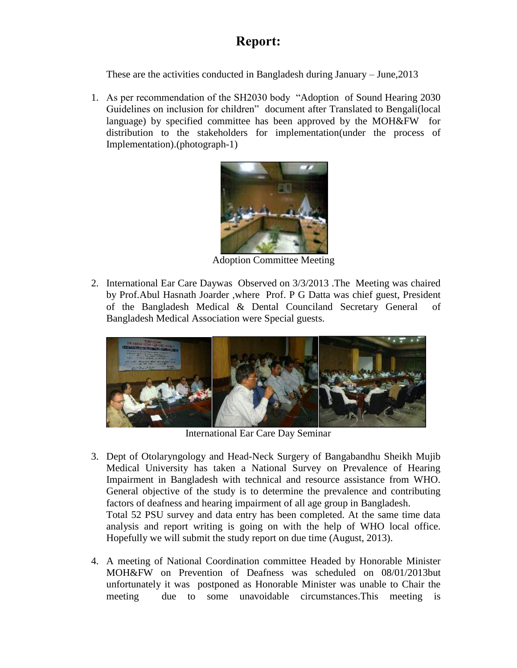## **Report:**

These are the activities conducted in Bangladesh during January – June,2013

1. As per recommendation of the SH2030 body "Adoption of Sound Hearing 2030 Guidelines on inclusion for children" document after Translated to Bengali(local language) by specified committee has been approved by the MOH&FW for distribution to the stakeholders for implementation(under the process of Implementation).(photograph-1)



Adoption Committee Meeting

2. International Ear Care Daywas Observed on 3/3/2013 .The Meeting was chaired by Prof.Abul Hasnath Joarder ,where Prof. P G Datta was chief guest, President of the Bangladesh Medical & Dental Counciland Secretary General of Bangladesh Medical Association were Special guests.



International Ear Care Day Seminar

- 3. Dept of Otolaryngology and Head-Neck Surgery of Bangabandhu Sheikh Mujib Medical University has taken a National Survey on Prevalence of Hearing Impairment in Bangladesh with technical and resource assistance from WHO. General objective of the study is to determine the prevalence and contributing factors of deafness and hearing impairment of all age group in Bangladesh. Total 52 PSU survey and data entry has been completed. At the same time data analysis and report writing is going on with the help of WHO local office. Hopefully we will submit the study report on due time (August, 2013).
- 4. A meeting of National Coordination committee Headed by Honorable Minister MOH&FW on Prevention of Deafness was scheduled on 08/01/2013but unfortunately it was postponed as Honorable Minister was unable to Chair the meeting due to some unavoidable circumstances.This meeting is